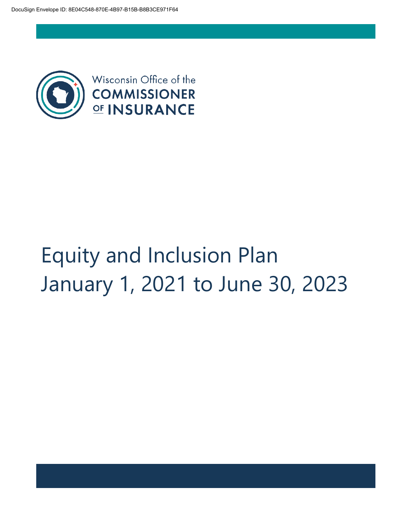

# Equity and Inclusion Plan January 1, 2021 to June 30, 2023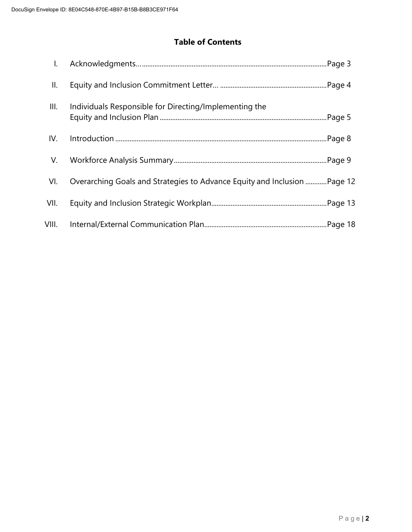# **Table of Contents**

| $\mathsf{I}$ . |                                                                           |  |
|----------------|---------------------------------------------------------------------------|--|
| II.            |                                                                           |  |
| III.           | Individuals Responsible for Directing/Implementing the                    |  |
| IV.            |                                                                           |  |
| V.             |                                                                           |  |
| VI.            | Overarching Goals and Strategies to Advance Equity and Inclusion  Page 12 |  |
| VII.           |                                                                           |  |
| VIII.          |                                                                           |  |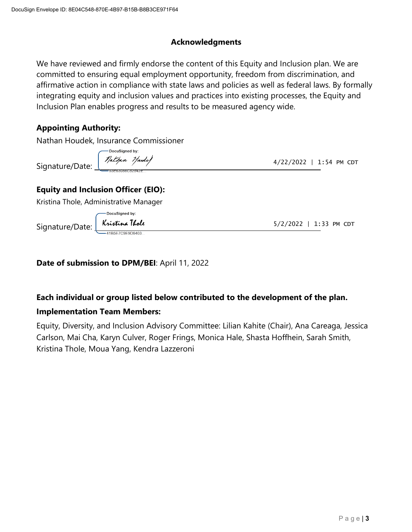#### **Acknowledgments**

We have reviewed and firmly endorse the content of this Equity and Inclusion plan. We are committed to ensuring equal employment opportunity, freedom from discrimination, and affirmative action in compliance with state laws and policies as well as federal laws. By formally integrating equity and inclusion values and practices into existing processes, the Equity and Inclusion Plan enables progress and results to be measured agency wide.

# **Appointing Authority:**

Nathan Houdek, Insurance Commissioner

Signature/Date:

DocuSigned by: Nathan Haudy

4/22/2022 | 1:54 PM CDT

# **Equity and Inclusion Officer (EIO):**

Kristina Thole, Administrative Manager

Signature/Date:

Kristina Thole

DocuSigned by:

5/2/2022 | 1:33 PM CDT

#### **Date of submission to DPM/BEI**: April 11, 2022

#### **Each individual or group listed below contributed to the development of the plan.**

#### **Implementation Team Members:**

Equity, Diversity, and Inclusion Advisory Committee: Lilian Kahite (Chair), Ana Careaga, Jessica Carlson, Mai Cha, Karyn Culver, Roger Frings, Monica Hale, Shasta Hoffhein, Sarah Smith, Kristina Thole, Moua Yang, Kendra Lazzeroni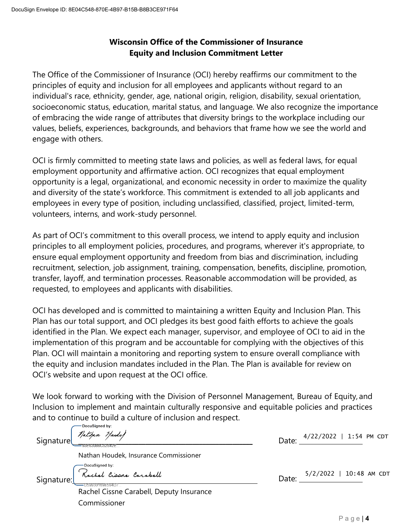# **Wisconsin Office of the Commissioner of Insurance Equity and Inclusion Commitment Letter**

The Office of the Commissioner of Insurance (OCI) hereby reaffirms our commitment to the principles of equity and inclusion for all employees and applicants without regard to an individual's race, ethnicity, gender, age, national origin, religion, disability, sexual orientation, socioeconomic status, education, marital status, and language. We also recognize the importance of embracing the wide range of attributes that diversity brings to the workplace including our values, beliefs, experiences, backgrounds, and behaviors that frame how we see the world and engage with others.

OCI is firmly committed to meeting state laws and policies, as well as federal laws, for equal employment opportunity and affirmative action. OCI recognizes that equal employment opportunity is a legal, organizational, and economic necessity in order to maximize the quality and diversity of the state's workforce. This commitment is extended to all job applicants and employees in every type of position, including unclassified, classified, project, limited-term, volunteers, interns, and work-study personnel.

As part of OCI's commitment to this overall process, we intend to apply equity and inclusion principles to all employment policies, procedures, and programs, wherever it's appropriate, to ensure equal employment opportunity and freedom from bias and discrimination, including recruitment, selection, job assignment, training, compensation, benefits, discipline, promotion, transfer, layoff, and termination processes. Reasonable accommodation will be provided, as requested, to employees and applicants with disabilities.

OCI has developed and is committed to maintaining a written Equity and Inclusion Plan. This Plan has our total support, and OCI pledges its best good faith efforts to achieve the goals identified in the Plan. We expect each manager, supervisor, and employee of OCI to aid in the implementation of this program and be accountable for complying with the objectives of this Plan. OCI will maintain a monitoring and reporting system to ensure overall compliance with the equity and inclusion mandates included in the Plan. The Plan is available for review on OCI's website and upon request at the OCI office.

We look forward to working with the Division of Personnel Management, Bureau of Equity, and Inclusion to implement and maintain culturally responsive and equitable policies and practices and to continue to build a culture of inclusion and respect.

| Signature  | Docusigned by:<br>1 Anthan Haude)                           | Date: | $4/22/2022$   1:54 PM CDT |  |
|------------|-------------------------------------------------------------|-------|---------------------------|--|
|            | Nathan Houdek, Insurance Commissioner                       |       |                           |  |
| Signature: | - DocuSigned by:<br>Rochel Cissue Carabell                  | Date: | 5/2/2022   10:48 AM CDT   |  |
|            | D59930169E594D7<br>Rachel Cissne Carabell, Deputy Insurance |       |                           |  |
|            | Commissioner                                                |       |                           |  |
|            |                                                             |       |                           |  |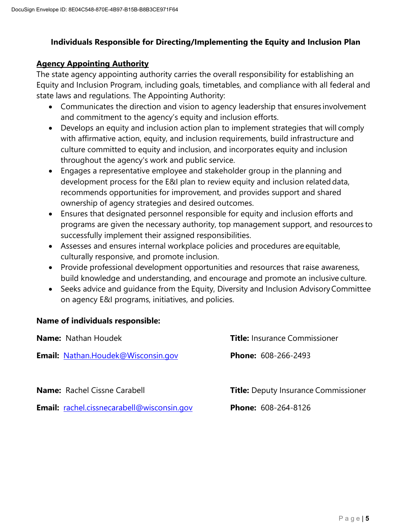# **Individuals Responsible for Directing/Implementing the Equity and Inclusion Plan**

## **Agency Appointing Authority**

The state agency appointing authority carries the overall responsibility for establishing an Equity and Inclusion Program, including goals, timetables, and compliance with all federal and state laws and regulations. The Appointing Authority:

- Communicates the direction and vision to agency leadership that ensures involvement and commitment to the agency's equity and inclusion efforts.
- Develops an equity and inclusion action plan to implement strategies that will comply with affirmative action, equity, and inclusion requirements, build infrastructure and culture committed to equity and inclusion, and incorporates equity and inclusion throughout the agency's work and public service.
- Engages a representative employee and stakeholder group in the planning and development process for the E&I plan to review equity and inclusion related data, recommends opportunities for improvement, and provides support and shared ownership of agency strategies and desired outcomes.
- Ensures that designated personnel responsible for equity and inclusion efforts and programs are given the necessary authority, top management support, and resources to successfully implement their assigned responsibilities.
- Assesses and ensures internal workplace policies and procedures are equitable, culturally responsive, and promote inclusion.
- Provide professional development opportunities and resources that raise awareness, build knowledge and understanding, and encourage and promote an inclusive culture.
- Seeks advice and quidance from the Equity, Diversity and Inclusion Advisory Committee on agency E&I programs, initiatives, and policies.

#### **Name of individuals responsible:**

| <b>Name:</b> Nathan Houdek                        | <b>Title:</b> Insurance Commissioner        |
|---------------------------------------------------|---------------------------------------------|
| <b>Email: Nathan.Houdek@Wisconsin.gov</b>         | <b>Phone: 608-266-2493</b>                  |
| <b>Name:</b> Rachel Cissne Carabell               | <b>Title:</b> Deputy Insurance Commissioner |
| <b>Email:</b> rachel.cissnecarabell@wisconsin.gov | <b>Phone: 608-264-8126</b>                  |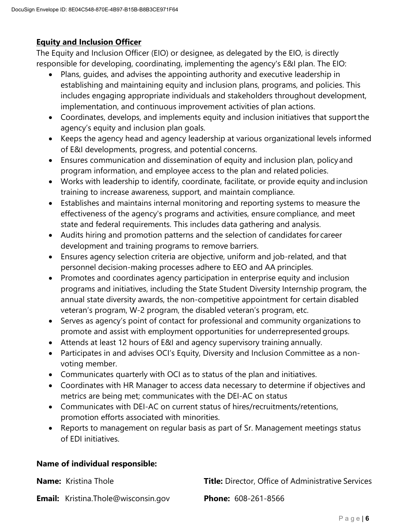## **Equity and Inclusion Officer**

The Equity and Inclusion Officer (EIO) or designee, as delegated by the EIO, is directly responsible for developing, coordinating, implementing the agency's E&I plan. The EIO:

- Plans, guides, and advises the appointing authority and executive leadership in establishing and maintaining equity and inclusion plans, programs, and policies. This includes engaging appropriate individuals and stakeholders throughout development, implementation, and continuous improvement activities of plan actions.
- Coordinates, develops, and implements equity and inclusion initiatives that supportthe agency's equity and inclusion plan goals.
- Keeps the agency head and agency leadership at various organizational levels informed of E&I developments, progress, and potential concerns.
- Ensures communication and dissemination of equity and inclusion plan, policy and program information, and employee access to the plan and related policies.
- Works with leadership to identify, coordinate, facilitate, or provide equity andinclusion training to increase awareness, support, and maintain compliance.
- Establishes and maintains internal monitoring and reporting systems to measure the effectiveness of the agency's programs and activities, ensure compliance, and meet state and federal requirements. This includes data gathering and analysis.
- Audits hiring and promotion patterns and the selection of candidates for career development and training programs to remove barriers.
- Ensures agency selection criteria are objective, uniform and job-related, and that personnel decision-making processes adhere to EEO and AA principles.
- Promotes and coordinates agency participation in enterprise equity and inclusion programs and initiatives, including the State Student Diversity Internship program, the annual state diversity awards, the non-competitive appointment for certain disabled veteran's program, W-2 program, the disabled veteran's program, etc.
- Serves as agency's point of contact for professional and community organizations to promote and assist with employment opportunities for underrepresented groups.
- Attends at least 12 hours of E&I and agency supervisory training annually.
- Participates in and advises OCI's Equity, Diversity and Inclusion Committee as a nonvoting member.
- Communicates quarterly with OCI as to status of the plan and initiatives.
- Coordinates with HR Manager to access data necessary to determine if objectives and metrics are being met; communicates with the DEI-AC on status
- Communicates with DEI-AC on current status of hires/recruitments/retentions, promotion efforts associated with minorities.
- Reports to management on regular basis as part of Sr. Management meetings status of EDI initiatives.

# **Name of individual responsible:**

| <b>Name:</b> Kristina Thole                | <b>Title:</b> Director, Office of Administrative Services |
|--------------------------------------------|-----------------------------------------------------------|
| <b>Email:</b> Kristina.Thole@wisconsin.gov | <b>Phone: 608-261-8566</b>                                |

P a g e | **6**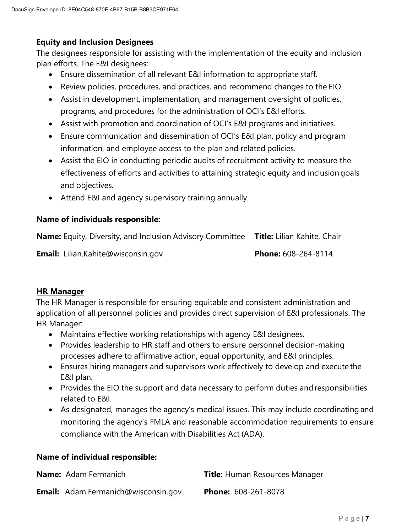#### **Equity and Inclusion Designees**

The designees responsible for assisting with the implementation of the equity and inclusion plan efforts. The E&I designees:

- Ensure dissemination of all relevant E&I information to appropriate staff.
- Review policies, procedures, and practices, and recommend changes to the EIO.
- Assist in development, implementation, and management oversight of policies, programs, and procedures for the administration of OCI's E&I efforts.
- Assist with promotion and coordination of OCI's E&I programs and initiatives.
- Ensure communication and dissemination of OCI's E&I plan, policy and program information, and employee access to the plan and related policies.
- Assist the EIO in conducting periodic audits of recruitment activity to measure the effectiveness of efforts and activities to attaining strategic equity and inclusion goals and objectives.
- Attend E&I and agency supervisory training annually.

#### **Name of individuals responsible:**

| <b>Name:</b> Equity, Diversity, and Inclusion Advisory Committee <b>Title:</b> Lilian Kahite, Chair |                            |
|-----------------------------------------------------------------------------------------------------|----------------------------|
| <b>Email:</b> Lilian.Kahite@wisconsin.gov                                                           | <b>Phone:</b> 608-264-8114 |

#### **HR Manager**

The HR Manager is responsible for ensuring equitable and consistent administration and application of all personnel policies and provides direct supervision of E&I professionals. The HR Manager:

- Maintains effective working relationships with agency E&I designees.
- Provides leadership to HR staff and others to ensure personnel decision-making processes adhere to affirmative action, equal opportunity, and E&I principles.
- Ensures hiring managers and supervisors work effectively to develop and execute the E&I plan.
- Provides the EIO the support and data necessary to perform duties and responsibilities related to E&I.
- As designated, manages the agency's medical issues. This may include coordinating and monitoring the agency's FMLA and reasonable accommodation requirements to ensure compliance with the American with Disabilities Act (ADA).

#### **Name of individual responsible:**

| <b>Name:</b> Adam Fermanich                | <b>Title: Human Resources Manager</b> |
|--------------------------------------------|---------------------------------------|
| <b>Email:</b> Adam.Fermanich@wisconsin.gov | <b>Phone: 608-261-8078</b>            |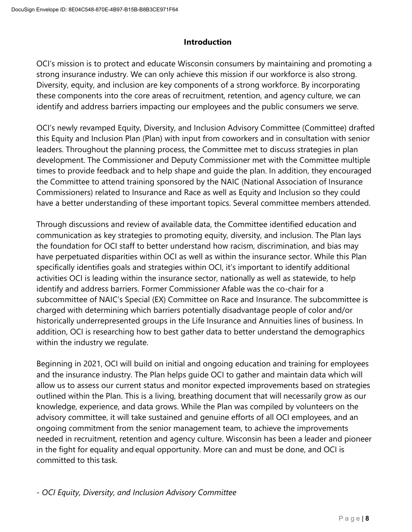#### **Introduction**

OCI's mission is to protect and educate Wisconsin consumers by maintaining and promoting a strong insurance industry. We can only achieve this mission if our workforce is also strong. Diversity, equity, and inclusion are key components of a strong workforce. By incorporating these components into the core areas of recruitment, retention, and agency culture, we can identify and address barriers impacting our employees and the public consumers we serve.

OCI's newly revamped Equity, Diversity, and Inclusion Advisory Committee (Committee) drafted this Equity and Inclusion Plan (Plan) with input from coworkers and in consultation with senior leaders. Throughout the planning process, the Committee met to discuss strategies in plan development. The Commissioner and Deputy Commissioner met with the Committee multiple times to provide feedback and to help shape and guide the plan. In addition, they encouraged the Committee to attend training sponsored by the NAIC (National Association of Insurance Commissioners) related to Insurance and Race as well as Equity and Inclusion so they could have a better understanding of these important topics. Several committee members attended.

Through discussions and review of available data, the Committee identified education and communication as key strategies to promoting equity, diversity, and inclusion. The Plan lays the foundation for OCI staff to better understand how racism, discrimination, and bias may have perpetuated disparities within OCI as well as within the insurance sector. While this Plan specifically identifies goals and strategies within OCI, it's important to identify additional activities OCI is leading within the insurance sector, nationally as well as statewide, to help identify and address barriers. Former Commissioner Afable was the co-chair for a subcommittee of NAIC's Special (EX) Committee on Race and Insurance. The subcommittee is charged with determining which barriers potentially disadvantage people of color and/or historically underrepresented groups in the Life Insurance and Annuities lines of business. In addition, OCI is researching how to best gather data to better understand the demographics within the industry we regulate.

Beginning in 2021, OCI will build on initial and ongoing education and training for employees and the insurance industry. The Plan helps guide OCI to gather and maintain data which will allow us to assess our current status and monitor expected improvements based on strategies outlined within the Plan. This is a living, breathing document that will necessarily grow as our knowledge, experience, and data grows. While the Plan was compiled by volunteers on the advisory committee, it will take sustained and genuine efforts of all OCI employees, and an ongoing commitment from the senior management team, to achieve the improvements needed in recruitment, retention and agency culture. Wisconsin has been a leader and pioneer in the fight for equality and equal opportunity. More can and must be done, and OCI is committed to this task.

- *OCI Equity, Diversity, and Inclusion Advisory Committee*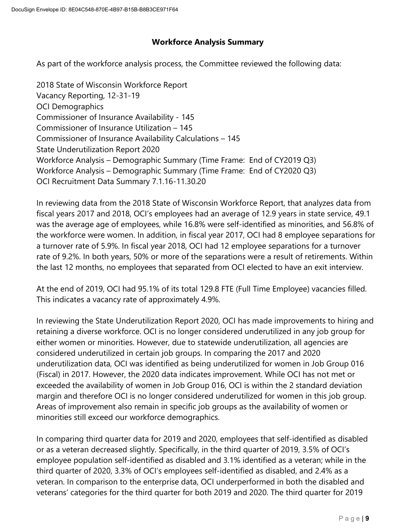# **Workforce Analysis Summary**

As part of the workforce analysis process, the Committee reviewed the following data:

2018 State of Wisconsin Workforce Report Vacancy Reporting, 12-31-19 OCI Demographics Commissioner of Insurance Availability - 145 Commissioner of Insurance Utilization – 145 Commissioner of Insurance Availability Calculations – 145 State Underutilization Report 2020 Workforce Analysis – Demographic Summary (Time Frame: End of CY2019 Q3) Workforce Analysis – Demographic Summary (Time Frame: End of CY2020 Q3) OCI Recruitment Data Summary 7.1.16-11.30.20

In reviewing data from the 2018 State of Wisconsin Workforce Report, that analyzes data from fiscal years 2017 and 2018, OCI's employees had an average of 12.9 years in state service, 49.1 was the average age of employees, while 16.8% were self-identified as minorities, and 56.8% of the workforce were women. In addition, in fiscal year 2017, OCI had 8 employee separations for a turnover rate of 5.9%. In fiscal year 2018, OCI had 12 employee separations for a turnover rate of 9.2%. In both years, 50% or more of the separations were a result of retirements. Within the last 12 months, no employees that separated from OCI elected to have an exit interview.

At the end of 2019, OCI had 95.1% of its total 129.8 FTE (Full Time Employee) vacancies filled. This indicates a vacancy rate of approximately 4.9%.

In reviewing the State Underutilization Report 2020, OCI has made improvements to hiring and retaining a diverse workforce. OCI is no longer considered underutilized in any job group for either women or minorities. However, due to statewide underutilization, all agencies are considered underutilized in certain job groups. In comparing the 2017 and 2020 underutilization data, OCI was identified as being underutilized for women in Job Group 016 (Fiscal) in 2017. However, the 2020 data indicates improvement. While OCI has not met or exceeded the availability of women in Job Group 016, OCI is within the 2 standard deviation margin and therefore OCI is no longer considered underutilized for women in this job group. Areas of improvement also remain in specific job groups as the availability of women or minorities still exceed our workforce demographics.

In comparing third quarter data for 2019 and 2020, employees that self-identified as disabled or as a veteran decreased slightly. Specifically, in the third quarter of 2019, 3.5% of OCI's employee population self-identified as disabled and 3.1% identified as a veteran; while in the third quarter of 2020, 3.3% of OCI's employees self-identified as disabled, and 2.4% as a veteran. In comparison to the enterprise data, OCI underperformed in both the disabled and veterans' categories for the third quarter for both 2019 and 2020. The third quarter for 2019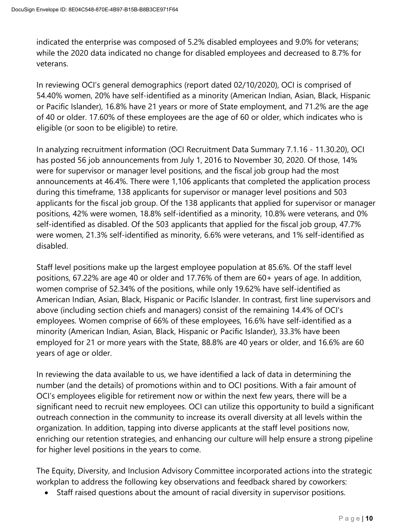indicated the enterprise was composed of 5.2% disabled employees and 9.0% for veterans; while the 2020 data indicated no change for disabled employees and decreased to 8.7% for veterans.

In reviewing OCI's general demographics (report dated 02/10/2020), OCI is comprised of 54.40% women, 20% have self-identified as a minority (American Indian, Asian, Black, Hispanic or Pacific Islander), 16.8% have 21 years or more of State employment, and 71.2% are the age of 40 or older. 17.60% of these employees are the age of 60 or older, which indicates who is eligible (or soon to be eligible) to retire.

In analyzing recruitment information (OCI Recruitment Data Summary 7.1.16 - 11.30.20), OCI has posted 56 job announcements from July 1, 2016 to November 30, 2020. Of those, 14% were for supervisor or manager level positions, and the fiscal job group had the most announcements at 46.4%. There were 1,106 applicants that completed the application process during this timeframe, 138 applicants for supervisor or manager level positions and 503 applicants for the fiscal job group. Of the 138 applicants that applied for supervisor or manager positions, 42% were women, 18.8% self-identified as a minority, 10.8% were veterans, and 0% self-identified as disabled. Of the 503 applicants that applied for the fiscal job group, 47.7% were women, 21.3% self-identified as minority, 6.6% were veterans, and 1% self-identified as disabled.

Staff level positions make up the largest employee population at 85.6%. Of the staff level positions, 67.22% are age 40 or older and 17.76% of them are 60+ years of age. In addition, women comprise of 52.34% of the positions, while only 19.62% have self-identified as American Indian, Asian, Black, Hispanic or Pacific Islander. In contrast, first line supervisors and above (including section chiefs and managers) consist of the remaining 14.4% of OCI's employees. Women comprise of 66% of these employees, 16.6% have self-identified as a minority (American Indian, Asian, Black, Hispanic or Pacific Islander), 33.3% have been employed for 21 or more years with the State, 88.8% are 40 years or older, and 16.6% are 60 years of age or older.

In reviewing the data available to us, we have identified a lack of data in determining the number (and the details) of promotions within and to OCI positions. With a fair amount of OCI's employees eligible for retirement now or within the next few years, there will be a significant need to recruit new employees. OCI can utilize this opportunity to build a significant outreach connection in the community to increase its overall diversity at all levels within the organization. In addition, tapping into diverse applicants at the staff level positions now, enriching our retention strategies, and enhancing our culture will help ensure a strong pipeline for higher level positions in the years to come.

The Equity, Diversity, and Inclusion Advisory Committee incorporated actions into the strategic workplan to address the following key observations and feedback shared by coworkers:

• Staff raised questions about the amount of racial diversity in supervisor positions.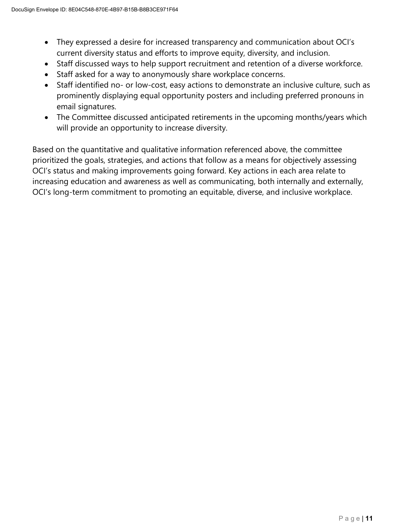- They expressed a desire for increased transparency and communication about OCI's current diversity status and efforts to improve equity, diversity, and inclusion.
- Staff discussed ways to help support recruitment and retention of a diverse workforce.
- Staff asked for a way to anonymously share workplace concerns.
- Staff identified no- or low-cost, easy actions to demonstrate an inclusive culture, such as prominently displaying equal opportunity posters and including preferred pronouns in email signatures.
- The Committee discussed anticipated retirements in the upcoming months/years which will provide an opportunity to increase diversity.

Based on the quantitative and qualitative information referenced above, the committee prioritized the goals, strategies, and actions that follow as a means for objectively assessing OCI's status and making improvements going forward. Key actions in each area relate to increasing education and awareness as well as communicating, both internally and externally, OCI's long-term commitment to promoting an equitable, diverse, and inclusive workplace.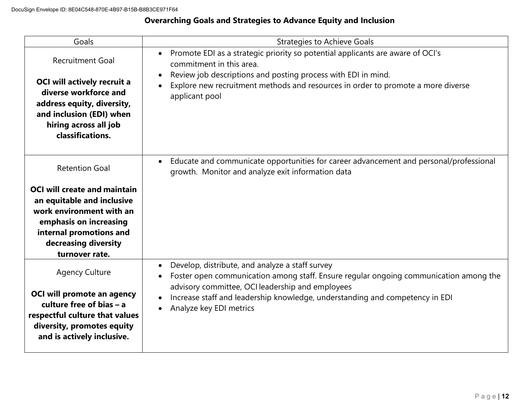# **Overarching Goals and Strategies to Advance Equity and Inclusion**

| Goals                                                                                                                                                                                         | <b>Strategies to Achieve Goals</b>                                                                                                                                                                                                                                                                      |
|-----------------------------------------------------------------------------------------------------------------------------------------------------------------------------------------------|---------------------------------------------------------------------------------------------------------------------------------------------------------------------------------------------------------------------------------------------------------------------------------------------------------|
| <b>Recruitment Goal</b><br><b>OCI will actively recruit a</b><br>diverse workforce and<br>address equity, diversity,<br>and inclusion (EDI) when<br>hiring across all job<br>classifications. | Promote EDI as a strategic priority so potential applicants are aware of OCI's<br>$\bullet$<br>commitment in this area.<br>Review job descriptions and posting process with EDI in mind.<br>Explore new recruitment methods and resources in order to promote a more diverse<br>applicant pool          |
|                                                                                                                                                                                               |                                                                                                                                                                                                                                                                                                         |
| <b>Retention Goal</b>                                                                                                                                                                         | Educate and communicate opportunities for career advancement and personal/professional<br>growth. Monitor and analyze exit information data                                                                                                                                                             |
| <b>OCI will create and maintain</b><br>an equitable and inclusive<br>work environment with an<br>emphasis on increasing<br>internal promotions and<br>decreasing diversity<br>turnover rate.  |                                                                                                                                                                                                                                                                                                         |
| <b>Agency Culture</b><br>OCI will promote an agency<br>culture free of bias $- a$<br>respectful culture that values<br>diversity, promotes equity<br>and is actively inclusive.               | Develop, distribute, and analyze a staff survey<br>Foster open communication among staff. Ensure regular ongoing communication among the<br>advisory committee, OCI leadership and employees<br>Increase staff and leadership knowledge, understanding and competency in EDI<br>Analyze key EDI metrics |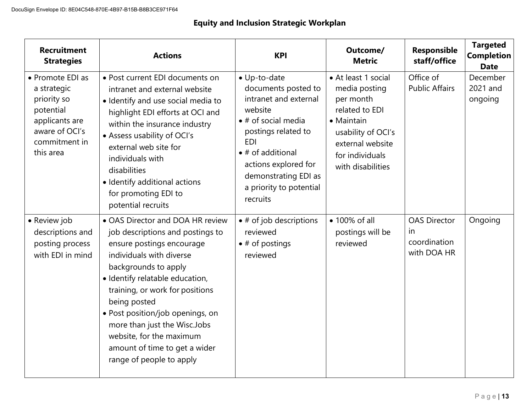# **Equity and Inclusion Strategic Workplan**

| <b>Recruitment</b><br><b>Strategies</b>                                                                                       | <b>Actions</b>                                                                                                                                                                                                                                                                                                                                                                                           | <b>KPI</b>                                                                                                                                                                                                                                                      | Outcome/<br><b>Metric</b>                                                                                                                                           | Responsible<br>staff/office                               | <b>Targeted</b><br><b>Completion</b><br><b>Date</b> |
|-------------------------------------------------------------------------------------------------------------------------------|----------------------------------------------------------------------------------------------------------------------------------------------------------------------------------------------------------------------------------------------------------------------------------------------------------------------------------------------------------------------------------------------------------|-----------------------------------------------------------------------------------------------------------------------------------------------------------------------------------------------------------------------------------------------------------------|---------------------------------------------------------------------------------------------------------------------------------------------------------------------|-----------------------------------------------------------|-----------------------------------------------------|
| • Promote EDI as<br>a strategic<br>priority so<br>potential<br>applicants are<br>aware of OCI's<br>commitment in<br>this area | • Post current EDI documents on<br>intranet and external website<br>· Identify and use social media to<br>highlight EDI efforts at OCI and<br>within the insurance industry<br>• Assess usability of OCI's<br>external web site for<br>individuals with<br>disabilities<br>· Identify additional actions<br>for promoting EDI to<br>potential recruits                                                   | · Up-to-date<br>documents posted to<br>intranet and external<br>website<br>$\bullet$ # of social media<br>postings related to<br><b>EDI</b><br>$\bullet$ # of additional<br>actions explored for<br>demonstrating EDI as<br>a priority to potential<br>recruits | • At least 1 social<br>media posting<br>per month<br>related to EDI<br>• Maintain<br>usability of OCI's<br>external website<br>for individuals<br>with disabilities | Office of<br><b>Public Affairs</b>                        | December<br>2021 and<br>ongoing                     |
| • Review job<br>descriptions and<br>posting process<br>with EDI in mind                                                       | • OAS Director and DOA HR review<br>job descriptions and postings to<br>ensure postings encourage<br>individuals with diverse<br>backgrounds to apply<br>· Identify relatable education,<br>training, or work for positions<br>being posted<br>• Post position/job openings, on<br>more than just the Wisc.Jobs<br>website, for the maximum<br>amount of time to get a wider<br>range of people to apply | $\bullet$ # of job descriptions<br>reviewed<br>$\bullet$ # of postings<br>reviewed                                                                                                                                                                              | • 100% of all<br>postings will be<br>reviewed                                                                                                                       | <b>OAS Director</b><br>in.<br>coordination<br>with DOA HR | Ongoing                                             |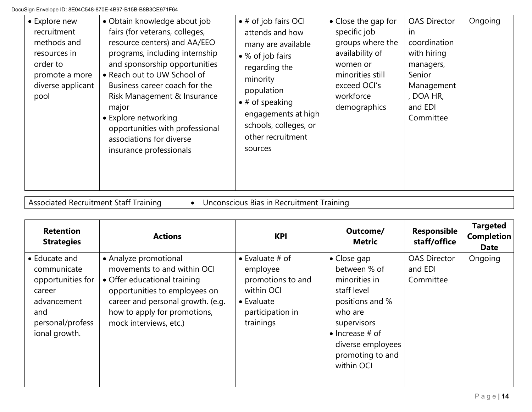| • Explore new<br>recruitment<br>methods and<br>resources in<br>order to<br>promote a more<br>diverse applicant<br>pool | • Obtain knowledge about job<br>fairs (for veterans, colleges,<br>resource centers) and AA/EEO<br>programs, including internship<br>and sponsorship opportunities<br>• Reach out to UW School of<br>Business career coach for the<br>Risk Management & Insurance<br>major<br>• Explore networking<br>opportunities with professional<br>associations for diverse<br>insurance professionals | $\bullet$ # of job fairs OCI<br>attends and how<br>many are available<br>• % of job fairs<br>regarding the<br>minority<br>population<br>$\bullet$ # of speaking<br>engagements at high<br>schools, colleges, or<br>other recruitment<br>sources | • Close the gap for<br>specific job<br>groups where the<br>availability of<br>women or<br>minorities still<br>exceed OCI's<br>workforce<br>demographics | <b>OAS Director</b><br>in<br>coordination<br>with hiring<br>managers,<br>Senior<br>Management<br>, DOA HR,<br>and EDI<br>Committee | Ongoing |
|------------------------------------------------------------------------------------------------------------------------|---------------------------------------------------------------------------------------------------------------------------------------------------------------------------------------------------------------------------------------------------------------------------------------------------------------------------------------------------------------------------------------------|-------------------------------------------------------------------------------------------------------------------------------------------------------------------------------------------------------------------------------------------------|---------------------------------------------------------------------------------------------------------------------------------------------------------|------------------------------------------------------------------------------------------------------------------------------------|---------|
|------------------------------------------------------------------------------------------------------------------------|---------------------------------------------------------------------------------------------------------------------------------------------------------------------------------------------------------------------------------------------------------------------------------------------------------------------------------------------------------------------------------------------|-------------------------------------------------------------------------------------------------------------------------------------------------------------------------------------------------------------------------------------------------|---------------------------------------------------------------------------------------------------------------------------------------------------------|------------------------------------------------------------------------------------------------------------------------------------|---------|

Associated Recruitment Staff Training • Unconscious Bias in Recruitment Training

| <b>Retention</b><br><b>Strategies</b>                                                                                  | <b>Actions</b>                                                                                                                                                                                                       | <b>KPI</b>                                                                                                                    | Outcome/<br><b>Metric</b>                                                                                                                                                                          | <b>Responsible</b><br>staff/office          | <b>Targeted</b><br><b>Completion</b><br><b>Date</b> |
|------------------------------------------------------------------------------------------------------------------------|----------------------------------------------------------------------------------------------------------------------------------------------------------------------------------------------------------------------|-------------------------------------------------------------------------------------------------------------------------------|----------------------------------------------------------------------------------------------------------------------------------------------------------------------------------------------------|---------------------------------------------|-----------------------------------------------------|
| • Educate and<br>communicate<br>opportunities for<br>career<br>advancement<br>and<br>personal/profess<br>ional growth. | • Analyze promotional<br>movements to and within OCI<br>• Offer educational training<br>opportunities to employees on<br>career and personal growth. (e.g.<br>how to apply for promotions,<br>mock interviews, etc.) | $\bullet$ Evaluate # of<br>employee<br>promotions to and<br>within OCI<br>$\bullet$ Evaluate<br>participation in<br>trainings | $\bullet$ Close gap<br>between % of<br>minorities in<br>staff level<br>positions and %<br>who are<br>supervisors<br>$\bullet$ Increase # of<br>diverse employees<br>promoting to and<br>within OCI | <b>OAS Director</b><br>and EDI<br>Committee | Ongoing                                             |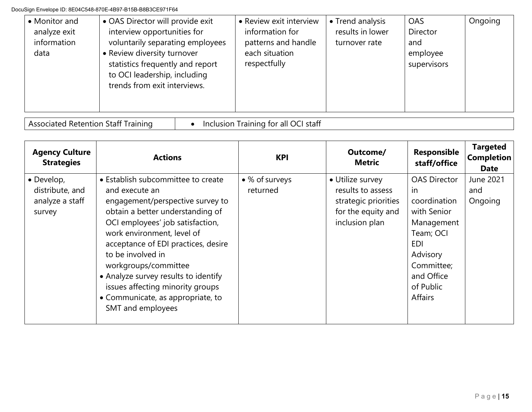| • OAS Director will provide exit<br>• Monitor and<br>interview opportunities for<br>analyze exit<br>information<br>voluntarily separating employees<br>• Review diversity turnover<br>data<br>statistics frequently and report<br>to OCI leadership, including<br>trends from exit interviews. | • Review exit interview<br>information for<br>patterns and handle<br>each situation<br>respectfully | • Trend analysis<br>results in lower<br>turnover rate | <b>OAS</b><br>Director<br>and<br>employee<br>supervisors | Ongoing |
|------------------------------------------------------------------------------------------------------------------------------------------------------------------------------------------------------------------------------------------------------------------------------------------------|-----------------------------------------------------------------------------------------------------|-------------------------------------------------------|----------------------------------------------------------|---------|
|------------------------------------------------------------------------------------------------------------------------------------------------------------------------------------------------------------------------------------------------------------------------------------------------|-----------------------------------------------------------------------------------------------------|-------------------------------------------------------|----------------------------------------------------------|---------|

Associated Retention Staff Training • Inclusion Training for all OCI staff

| <b>Agency Culture</b><br><b>Strategies</b>                         | <b>Actions</b>                                                                                                                                                                                                                                                                                                                                                                                                           | <b>KPI</b>                 | Outcome/<br><b>Metric</b>                                                                             | Responsible<br>staff/office                                                                                                                                        | <b>Targeted</b><br><b>Completion</b><br><b>Date</b> |
|--------------------------------------------------------------------|--------------------------------------------------------------------------------------------------------------------------------------------------------------------------------------------------------------------------------------------------------------------------------------------------------------------------------------------------------------------------------------------------------------------------|----------------------------|-------------------------------------------------------------------------------------------------------|--------------------------------------------------------------------------------------------------------------------------------------------------------------------|-----------------------------------------------------|
| $\bullet$ Develop,<br>distribute, and<br>analyze a staff<br>survey | • Establish subcommittee to create<br>and execute an<br>engagement/perspective survey to<br>obtain a better understanding of<br>OCI employees' job satisfaction,<br>work environment, level of<br>acceptance of EDI practices, desire<br>to be involved in<br>workgroups/committee<br>• Analyze survey results to identify<br>issues affecting minority groups<br>• Communicate, as appropriate, to<br>SMT and employees | • % of surveys<br>returned | • Utilize survey<br>results to assess<br>strategic priorities<br>for the equity and<br>inclusion plan | <b>OAS Director</b><br>-in<br>coordination<br>with Senior<br>Management<br>Team; OCI<br><b>EDI</b><br>Advisory<br>Committee;<br>and Office<br>of Public<br>Affairs | June 2021<br>and<br>Ongoing                         |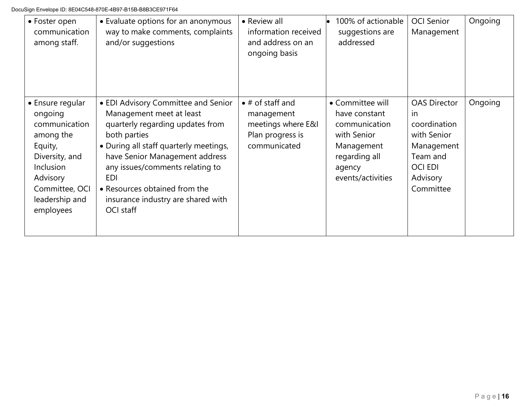| • Foster open<br>communication<br>among staff.                                                                                                                   | • Evaluate options for an anonymous<br>way to make comments, complaints<br>and/or suggestions                                                                                                                                                                                                                                        | • Review all<br>information received<br>and address on an<br>ongoing basis                       | 100% of actionable<br>suggestions are<br>addressed                                                                              | <b>OCI Senior</b><br>Management                                                                                               | Ongoing |
|------------------------------------------------------------------------------------------------------------------------------------------------------------------|--------------------------------------------------------------------------------------------------------------------------------------------------------------------------------------------------------------------------------------------------------------------------------------------------------------------------------------|--------------------------------------------------------------------------------------------------|---------------------------------------------------------------------------------------------------------------------------------|-------------------------------------------------------------------------------------------------------------------------------|---------|
| • Ensure regular<br>ongoing<br>communication<br>among the<br>Equity,<br>Diversity, and<br>Inclusion<br>Advisory<br>Committee, OCI<br>leadership and<br>employees | • EDI Advisory Committee and Senior<br>Management meet at least<br>quarterly regarding updates from<br>both parties<br>• During all staff quarterly meetings,<br>have Senior Management address<br>any issues/comments relating to<br><b>EDI</b><br>• Resources obtained from the<br>insurance industry are shared with<br>OCI staff | $\bullet$ # of staff and<br>management<br>meetings where E&I<br>Plan progress is<br>communicated | • Committee will<br>have constant<br>communication<br>with Senior<br>Management<br>regarding all<br>agency<br>events/activities | <b>OAS Director</b><br>in<br>coordination<br>with Senior<br>Management<br>Team and<br><b>OCI EDI</b><br>Advisory<br>Committee | Ongoing |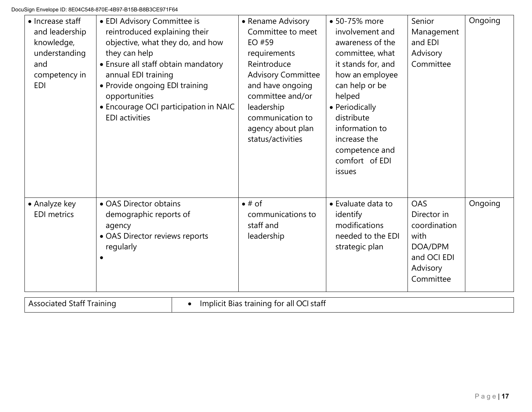| • Increase staff<br>and leadership<br>knowledge,<br>understanding<br>and<br>competency in<br><b>EDI</b> | • EDI Advisory Committee is<br>reintroduced explaining their<br>objective, what they do, and how<br>they can help<br>• Ensure all staff obtain mandatory<br>annual EDI training<br>• Provide ongoing EDI training<br>opportunities<br>• Encourage OCI participation in NAIC<br><b>EDI</b> activities | • Rename Advisory<br>Committee to meet<br>EO #59<br>requirements<br>Reintroduce<br><b>Advisory Committee</b><br>and have ongoing<br>committee and/or<br>leadership<br>communication to<br>agency about plan<br>status/activities | • 50-75% more<br>involvement and<br>awareness of the<br>committee, what<br>it stands for, and<br>how an employee<br>can help or be<br>helped<br>• Periodically<br>distribute<br>information to<br>increase the<br>competence and<br>comfort of EDI<br>issues | Senior<br>Management<br>and EDI<br>Advisory<br>Committee                                      | Ongoing |
|---------------------------------------------------------------------------------------------------------|------------------------------------------------------------------------------------------------------------------------------------------------------------------------------------------------------------------------------------------------------------------------------------------------------|----------------------------------------------------------------------------------------------------------------------------------------------------------------------------------------------------------------------------------|--------------------------------------------------------------------------------------------------------------------------------------------------------------------------------------------------------------------------------------------------------------|-----------------------------------------------------------------------------------------------|---------|
| • Analyze key<br><b>EDI</b> metrics                                                                     | • OAS Director obtains<br>demographic reports of<br>agency<br>• OAS Director reviews reports<br>regularly                                                                                                                                                                                            | $\bullet$ # of<br>communications to<br>staff and<br>leadership                                                                                                                                                                   | • Evaluate data to<br>identify<br>modifications<br>needed to the EDI<br>strategic plan                                                                                                                                                                       | OAS<br>Director in<br>coordination<br>with<br>DOA/DPM<br>and OCI EDI<br>Advisory<br>Committee | Ongoing |

Associated Staff Training **•** Implicit Bias training for all OCI staff